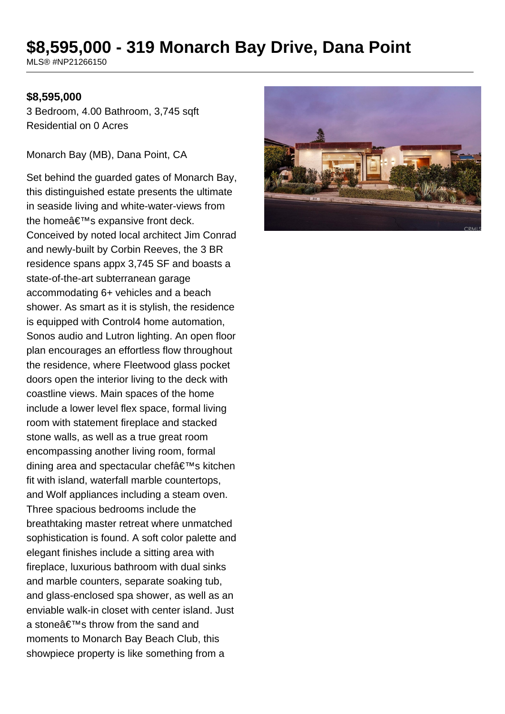## **\$8,595,000 - 319 Monarch Bay Drive, Dana Point**

MLS® #NP21266150

## **\$8,595,000**

3 Bedroom, 4.00 Bathroom, 3,745 sqft Residential on 0 Acres

Monarch Bay (MB), Dana Point, CA

Set behind the guarded gates of Monarch Bay, this distinguished estate presents the ultimate in seaside living and white-water-views from the home $\hat{a} \in \text{TM}$ s expansive front deck. Conceived by noted local architect Jim Conrad and newly-built by Corbin Reeves, the 3 BR residence spans appx 3,745 SF and boasts a state-of-the-art subterranean garage accommodating 6+ vehicles and a beach shower. As smart as it is stylish, the residence is equipped with Control4 home automation, Sonos audio and Lutron lighting. An open floor plan encourages an effortless flow throughout the residence, where Fleetwood glass pocket doors open the interior living to the deck with coastline views. Main spaces of the home include a lower level flex space, formal living room with statement fireplace and stacked stone walls, as well as a true great room encompassing another living room, formal dining area and spectacular chef's kitchen fit with island, waterfall marble countertops, and Wolf appliances including a steam oven. Three spacious bedrooms include the breathtaking master retreat where unmatched sophistication is found. A soft color palette and elegant finishes include a sitting area with fireplace, luxurious bathroom with dual sinks and marble counters, separate soaking tub, and glass-enclosed spa shower, as well as an enviable walk-in closet with center island. Just a stoneâ€<sup>™</sup>s throw from the sand and moments to Monarch Bay Beach Club, this showpiece property is like something from a